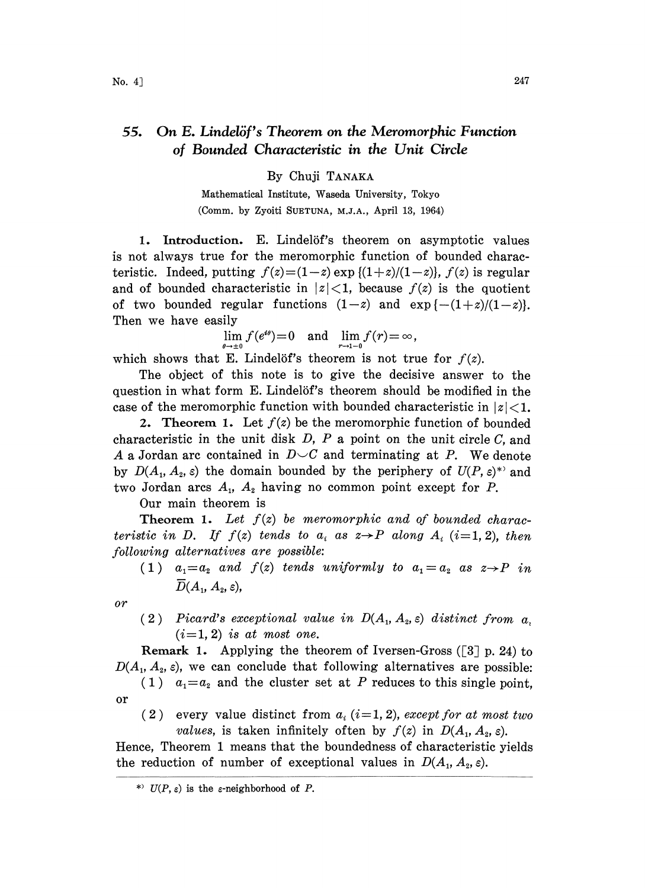## 55. On E. Lindelöf's Theorem on the Meromorphic Function of Bounded Characteristic in the Unit Circle

By Chuji TANAKA

Mathematical Institute, Waseda University, Tokyo (Comm. by Zyoiti SUETUNA, M.J.A., April 13, 1964)

1. Introduction. E. Lindelöf's theorem on asymptotic values is not always true for the meromorphic function of bounded characteristic. Indeed, putting  $f(z)=(1-z) \exp{(1+z)/(1-z)}$ ,  $f(z)$  is regular and of bounded characteristic in  $|z|<1$ , because  $f(z)$  is the quotient of two bounded regular functions  $(1-z)$  and  $\exp\{-(1+z)/(1-z)\}.$ Then we have easily

$$
\lim_{\theta \to \pm 0} f(e^{i\theta}) = 0 \quad \text{and} \quad \lim_{r \to 1-0} f(r) = \infty,
$$

which shows that E. Lindelöf's theorem is not true for  $f(z)$ .

The object of this note is to give the decisive answer to the question in what form E. Lindelöf's theorem should be modified in the case of the meromorphic function with bounded characteristic in  $|z|<1$ .

2. Theorem 1. Let  $f(z)$  be the meromorphic function of bounded characteristic in the unit disk  $D$ ,  $P$  a point on the unit circle  $C$ , and A a Jordan arc contained in  $D\smile C$  and terminating at P. We denote by  $D(A_1, A_2, \varepsilon)$  the domain bounded by the periphery of  $U(P, \varepsilon)^*$  and two Jordan arcs  $A_1$ ,  $A_2$  having no common point except for P.

Our main theorem is

**Theorem 1.** Let  $f(z)$  be meromorphic and of bounded characteristic in D. If  $f(z)$  tends to  $a_i$  as  $z \rightarrow P$  along  $A_i$  (i=1,2), then following alternatives are possible:

(1)  $a_1=a_2$  and  $f(z)$  tends uniformly to  $a_1=a_2$  as  $z\rightarrow P$  in  $\overline{D}(A_1, A_2, \varepsilon),$ 

or

(2) Picard's exceptional value in  $D(A_1, A_2, \varepsilon)$  distinct from a.  $(i=1, 2)$  is at most one.

**Remark 1.** Applying the theorem of Iversen-Gross ( $\lceil 3 \rceil$  p. 24) to  $D(A_1, A_2, \varepsilon)$ , we can conclude that following alternatives are possible:

- (1)  $a_1=a_2$  and the cluster set at P reduces to this single point, or
	- (2) every value distinct from  $a_i$  (i=1, 2), except for at most two *values*, is taken infinitely often by  $f(z)$  in  $D(A_1, A_2, \varepsilon)$ .

Hence, Theorem 1 means that the boundedness of characteristic yields the reduction of number of exceptional values in  $D(A_1, A_2, \varepsilon)$ .

<sup>\*)</sup>  $U(P, \varepsilon)$  is the  $\varepsilon$ -neighborhood of P.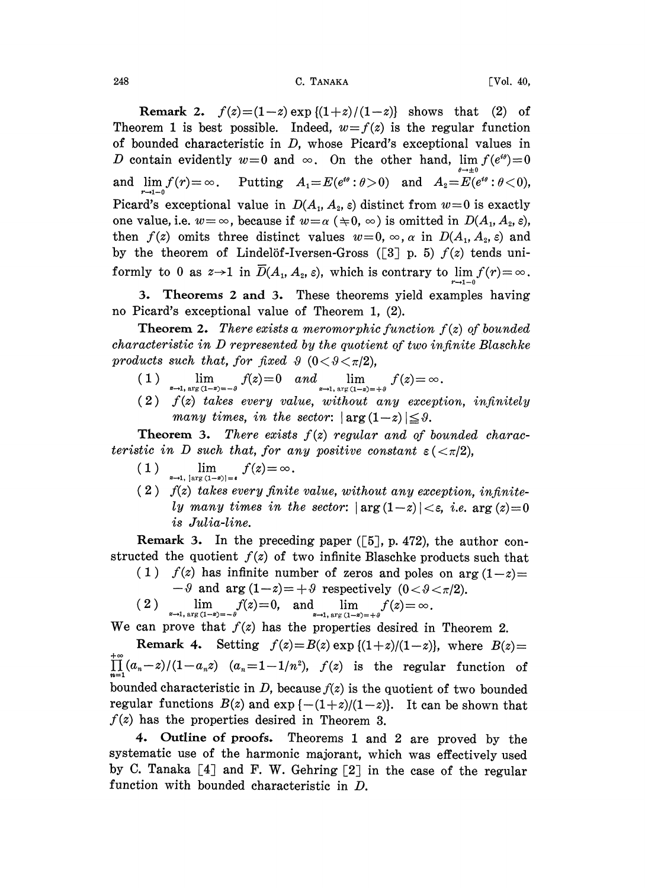248 C. TANAKA [Vol. 40,

Remark 2.  $f(z)=(1-z) \exp{(1+z)/(1-z)}$  shows that (2) of Theorem 1 is best possible. Indeed,  $w=f(z)$  is the regular function of bounded characteristic in D, whose Picard's exceptional values in D contain evidently  $w=0$  and  $\infty$ . On the other hand,  $\lim_{\theta \to \pm 0} f(e^{i\theta})=0$  $\text{and}\;\; \lim_{r\to 1-0}f(r){\,=\,}\infty\;\;. \quad \text{Putting}\quad A_1\text{=}E(e^{\imath\theta}:\theta\text{}>0)\quad \text{and}\quad A_2\text{=}E(e^{\imath\theta}:\theta\text{}<0),$ Picard's exceptional value in  $D(A_1, A_2, \varepsilon)$  distinct from  $w=0$  is exactly one value, i.e.  $w = \infty$ , because if  $w = \alpha (\pm 0, \infty)$  is omitted in  $D(A_1, A_2, \varepsilon)$ , then  $f(z)$  omits three distinct values  $w=0$ ,  $\infty$ ,  $\alpha$  in  $D(A_1, A_2, \varepsilon)$  and by the theorem of Lindelöf-Iversen-Gross ([3] p. 5)  $f(z)$  tends uniformly to 0 as  $z \rightarrow 1$  in  $\overline{D}(A_1, A_2, \varepsilon)$ , which is contrary to  $\lim f(r) = \infty$ .  $r\rightarrow1-0$ 

3. Theorems 2 and 3. These theorems yield examples having no Picard's exceptional value of Theorem 1, (2).

**Theorem 2.** There exists a meromorphic function  $f(z)$  of bounded characteristic in D represented by the quotient of two infinite Blaschke products such that, for fixed  $\theta$  (0  $\lt \theta \lt \pi/2$ ),

- 1)  $\lim_{z \to 1, \arg(1-z) = -\theta} f(z) = 0$  and  $\lim_{z \to 1, \arg(1-z) = +\theta} f(z) = 0$
- $(2)$   $f(z)$  takes every value, without any exception, infinitely many times, in the sector:  $|\arg(1-z)| \leq \vartheta$ .

**Theorem 3.** There exists  $f(z)$  regular and of bounded characteristic in D such that, for any positive constant  $\varepsilon$  ( $\langle \pi/2 \rangle$ ,

- (1)  $\lim_{z \to 1, |\arg(1-z)| = \epsilon} f(z) = \infty.$
- $(2)$  f(z) takes every finite value, without any exception, infinitely many times in the sector:  $|\arg(1-z)| < \varepsilon$ , i.e.  $\arg(z)=0$ is Julia-line.

Remark 3. In the preceding paper  $([5], p. 472)$ , the author constructed the quotient  $f(z)$  of two infinite Blaschke products such that

- (1)  $f(z)$  has infinite number of zeros and poles on arg  $(1-z)$ 
	- $-9$  and arg  $(1-z)=+9$  respectively  $(0<\theta<\pi/2)$ .
- $(2)$   $\lim_{z \to 1, \arg(1-z)=-\vartheta} f(z)=0$ , and  $\lim_{z \to 1, \arg(1-z)=+\vartheta} f(z)=$

We can prove that  $f(z)$  has the properties desired in Theorem 2.

Remark 4. Setting  $f(z)=B(z) \exp \{(1+z)/(1-z)\}\)$ , where  $B(z)=$  $\prod_{n=1}^{+\infty} (a_n-z)/(1-a_nz)$   $(a_n=1-1/n^2)$ ,  $f(z)$  is the regular function of bounded characteristic in  $D$ , because  $f(z)$  is the quotient of two bounded regular functions  $B(z)$  and  $\exp\{-(1+z)/(1-z)\}$ . It can be shown that  $f(z)$  has the properties desired in Theorem 3.

4. Outline of proofs. Theorems 1 and 2 are proved by the systematic use of the harmonic majorant, which was effectively used by C. Tanaka  $[4]$  and F. W. Gehring  $[2]$  in the case of the regular function with bounded characteristic in D.